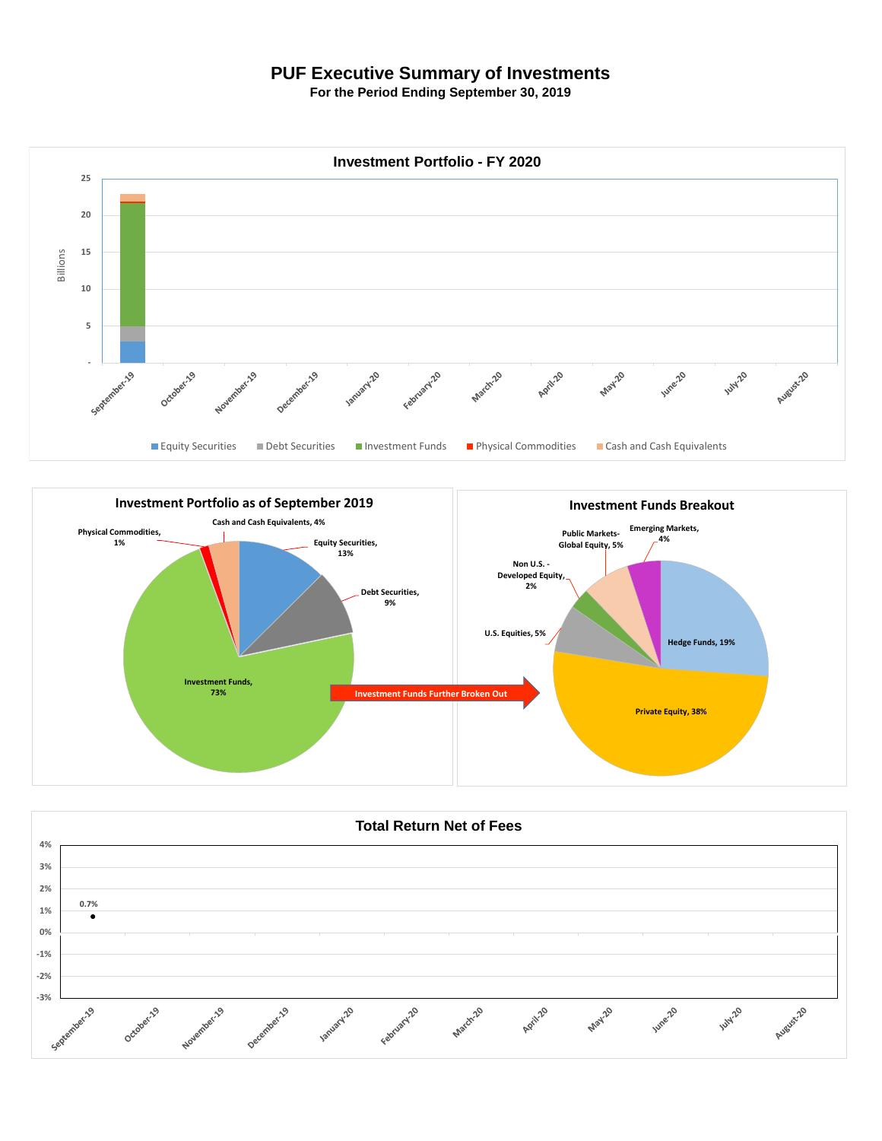## **PUF Executive Summary of Investments**

**For the Period Ending September 30, 2019**